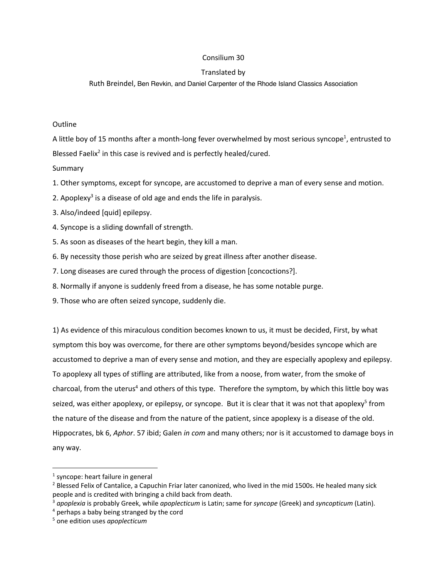## Consilium 30

## Translated by

Ruth Breindel, Ben Revkin, and Daniel Carpenter of the Rhode Island Classics Association

## **Outline**

A little boy of 15 months after a month-long fever overwhelmed by most serious syncope<sup>1</sup>, entrusted to Blessed Faelix<sup>2</sup> in this case is revived and is perfectly healed/cured.

## Summary

- 1. Other symptoms, except for syncope, are accustomed to deprive a man of every sense and motion.
- 2. Apoplexy<sup>3</sup> is a disease of old age and ends the life in paralysis.
- 3. Also/indeed [quid] epilepsy.
- 4. Syncope is a sliding downfall of strength.
- 5. As soon as diseases of the heart begin, they kill a man.
- 6. By necessity those perish who are seized by great illness after another disease.
- 7. Long diseases are cured through the process of digestion [concoctions?].
- 8. Normally if anyone is suddenly freed from a disease, he has some notable purge.
- 9. Those who are often seized syncope, suddenly die.

1) As evidence of this miraculous condition becomes known to us, it must be decided, First, by what symptom this boy was overcome, for there are other symptoms beyond/besides syncope which are accustomed to deprive a man of every sense and motion, and they are especially apoplexy and epilepsy. To apoplexy all types of stifling are attributed, like from a noose, from water, from the smoke of charcoal, from the uterus<sup>4</sup> and others of this type. Therefore the symptom, by which this little boy was seized, was either apoplexy, or epilepsy, or syncope. But it is clear that it was not that apoplexy<sup>5</sup> from the nature of the disease and from the nature of the patient, since apoplexy is a disease of the old. Hippocrates, bk 6, *Aphor*. 57 ibid; Galen *in com* and many others; nor is it accustomed to damage boys in any way.

 <sup>1</sup> syncope: heart failure in general

 $2$  Blessed Felix of Cantalice, a Capuchin Friar later canonized, who lived in the mid 1500s. He healed many sick people and is credited with bringing a child back from death.

<sup>3</sup> *apoplexia* is probably Greek, while *apoplecticum* is Latin; same for *syncope* (Greek) and *syncopticum* (Latin).

<sup>4</sup> perhaps a baby being stranged by the cord

<sup>5</sup> one edition uses *apoplecticum*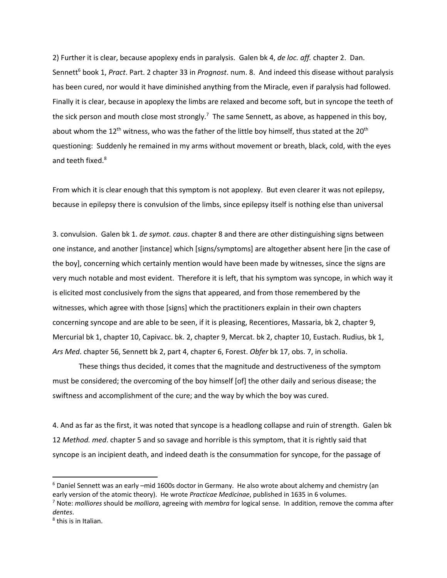2) Further it is clear, because apoplexy ends in paralysis. Galen bk 4, *de loc. aff.* chapter 2. Dan. Sennett<sup>6</sup> book 1, *Pract*. Part. 2 chapter 33 in *Prognost*. num. 8. And indeed this disease without paralysis has been cured, nor would it have diminished anything from the Miracle, even if paralysis had followed. Finally it is clear, because in apoplexy the limbs are relaxed and become soft, but in syncope the teeth of the sick person and mouth close most strongly.<sup>7</sup> The same Sennett, as above, as happened in this boy, about whom the  $12^{th}$  witness, who was the father of the little boy himself, thus stated at the  $20^{th}$ questioning: Suddenly he remained in my arms without movement or breath, black, cold, with the eyes and teeth fixed.<sup>8</sup>

From which it is clear enough that this symptom is not apoplexy. But even clearer it was not epilepsy, because in epilepsy there is convulsion of the limbs, since epilepsy itself is nothing else than universal

3. convulsion. Galen bk 1. *de symot. caus*. chapter 8 and there are other distinguishing signs between one instance, and another [instance] which [signs/symptoms] are altogether absent here [in the case of the boy], concerning which certainly mention would have been made by witnesses, since the signs are very much notable and most evident. Therefore it is left, that his symptom was syncope, in which way it is elicited most conclusively from the signs that appeared, and from those remembered by the witnesses, which agree with those [signs] which the practitioners explain in their own chapters concerning syncope and are able to be seen, if it is pleasing, Recentiores, Massaria, bk 2, chapter 9, Mercurial bk 1, chapter 10, Capivacc. bk. 2, chapter 9, Mercat. bk 2, chapter 10, Eustach. Rudius, bk 1, *Ars Med*. chapter 56, Sennett bk 2, part 4, chapter 6, Forest. *Obfer* bk 17, obs. 7, in scholia.

These things thus decided, it comes that the magnitude and destructiveness of the symptom must be considered; the overcoming of the boy himself [of] the other daily and serious disease; the swiftness and accomplishment of the cure; and the way by which the boy was cured.

4. And as far as the first, it was noted that syncope is a headlong collapse and ruin of strength. Galen bk 12 *Method. med*. chapter 5 and so savage and horrible is this symptom, that it is rightly said that syncope is an incipient death, and indeed death is the consummation for syncope, for the passage of

 <sup>6</sup> Daniel Sennett was an early –mid 1600s doctor in Germany. He also wrote about alchemy and chemistry (an early version of the atomic theory). He wrote *Practicae Medicinae*, published in 1635 in 6 volumes.

<sup>7</sup> Note: *molliores* should be *molliora*, agreeing with *membra* for logical sense. In addition, remove the comma after *dentes*.

<sup>8</sup> this is in Italian.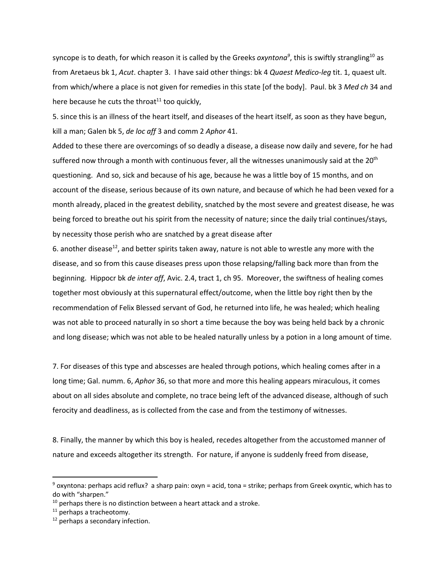syncope is to death, for which reason it is called by the Greeks *oxyntona<sup>9</sup>*, this is swiftly strangling<sup>10</sup> as from Aretaeus bk 1, *Acut*. chapter 3. I have said other things: bk 4 *Quaest Medico-leg* tit. 1, quaest ult. from which/where a place is not given for remedies in this state [of the body]. Paul. bk 3 *Med ch* 34 and here because he cuts the throat<sup>11</sup> too quickly,

5. since this is an illness of the heart itself, and diseases of the heart itself, as soon as they have begun, kill a man; Galen bk 5, *de loc aff* 3 and comm 2 *Aphor* 41.

Added to these there are overcomings of so deadly a disease, a disease now daily and severe, for he had suffered now through a month with continuous fever, all the witnesses unanimously said at the 20<sup>th</sup> questioning. And so, sick and because of his age, because he was a little boy of 15 months, and on account of the disease, serious because of its own nature, and because of which he had been vexed for a month already, placed in the greatest debility, snatched by the most severe and greatest disease, he was being forced to breathe out his spirit from the necessity of nature; since the daily trial continues/stays, by necessity those perish who are snatched by a great disease after

6. another disease<sup>12</sup>, and better spirits taken away, nature is not able to wrestle any more with the disease, and so from this cause diseases press upon those relapsing/falling back more than from the beginning. Hippocr bk *de inter aff*, Avic. 2.4, tract 1, ch 95. Moreover, the swiftness of healing comes together most obviously at this supernatural effect/outcome, when the little boy right then by the recommendation of Felix Blessed servant of God, he returned into life, he was healed; which healing was not able to proceed naturally in so short a time because the boy was being held back by a chronic and long disease; which was not able to be healed naturally unless by a potion in a long amount of time.

7. For diseases of this type and abscesses are healed through potions, which healing comes after in a long time; Gal. numm. 6, *Aphor* 36, so that more and more this healing appears miraculous, it comes about on all sides absolute and complete, no trace being left of the advanced disease, although of such ferocity and deadliness, as is collected from the case and from the testimony of witnesses.

8. Finally, the manner by which this boy is healed, recedes altogether from the accustomed manner of nature and exceeds altogether its strength. For nature, if anyone is suddenly freed from disease,

 $9$  oxyntona: perhaps acid reflux? a sharp pain: oxyn = acid, tona = strike; perhaps from Greek oxyntic, which has to do with "sharpen."

 $10$  perhaps there is no distinction between a heart attack and a stroke.

<sup>&</sup>lt;sup>11</sup> perhaps a tracheotomy.

 $12$  perhaps a secondary infection.